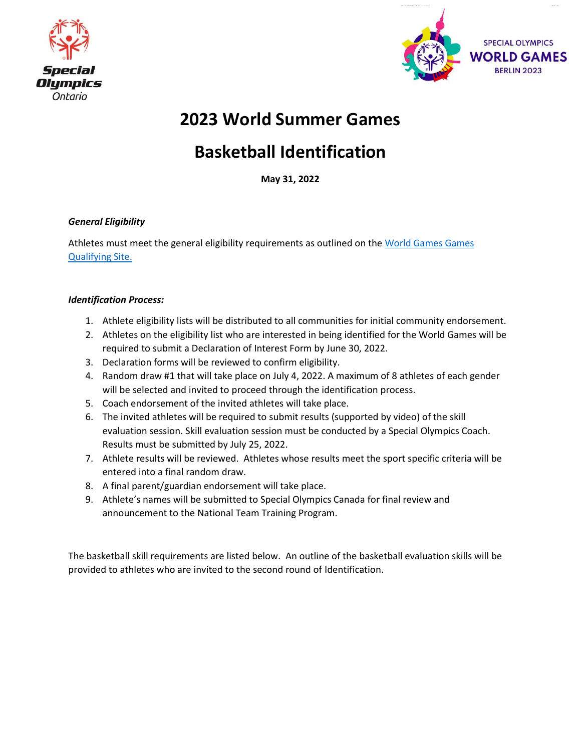



# **2023 World Summer Games**

# **Basketball Identification**

**May 31, 2022**

#### *General Eligibility*

Athletes must meet the general eligibility requirements as outlined on th[e World Games Games](https://www1.specialolympicsontario.com/games/2023-world-games-qualifying/)  [Qualifying Site.](https://www1.specialolympicsontario.com/games/2023-world-games-qualifying/)

#### *Identification Process:*

- 1. Athlete eligibility lists will be distributed to all communities for initial community endorsement.
- 2. Athletes on the eligibility list who are interested in being identified for the World Games will be required to submit a Declaration of Interest Form by June 30, 2022.
- 3. Declaration forms will be reviewed to confirm eligibility.
- 4. Random draw #1 that will take place on July 4, 2022. A maximum of 8 athletes of each gender will be selected and invited to proceed through the identification process.
- 5. Coach endorsement of the invited athletes will take place.
- 6. The invited athletes will be required to submit results (supported by video) of the skill evaluation session. Skill evaluation session must be conducted by a Special Olympics Coach. Results must be submitted by July 25, 2022.
- 7. Athlete results will be reviewed. Athletes whose results meet the sport specific criteria will be entered into a final random draw.
- 8. A final parent/guardian endorsement will take place.
- 9. Athlete's names will be submitted to Special Olympics Canada for final review and announcement to the National Team Training Program.

The basketball skill requirements are listed below. An outline of the basketball evaluation skills will be provided to athletes who are invited to the second round of Identification.